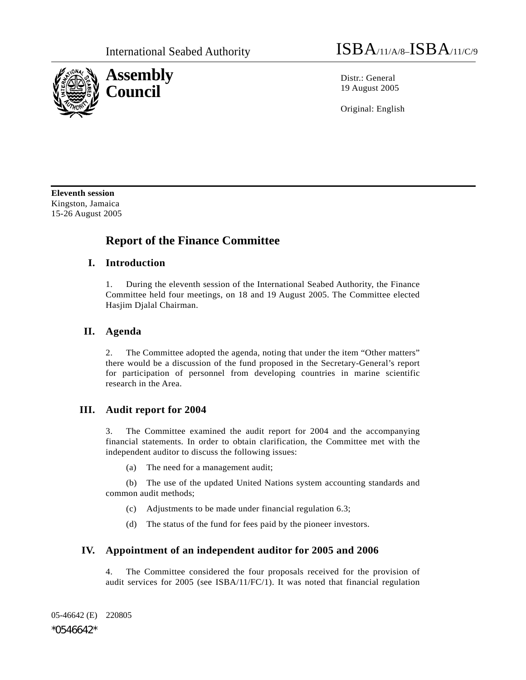

Original: English

**Eleventh session**  Kingston, Jamaica 15-26 August 2005

# **Report of the Finance Committee**

### **I. Introduction**

1. During the eleventh session of the International Seabed Authority, the Finance Committee held four meetings, on 18 and 19 August 2005. The Committee elected Hasjim Djalal Chairman.

### **II. Agenda**

2. The Committee adopted the agenda, noting that under the item "Other matters" there would be a discussion of the fund proposed in the Secretary-General's report for participation of personnel from developing countries in marine scientific research in the Area.

## **III. Audit report for 2004**

3. The Committee examined the audit report for 2004 and the accompanying financial statements. In order to obtain clarification, the Committee met with the independent auditor to discuss the following issues:

(a) The need for a management audit;

 (b) The use of the updated United Nations system accounting standards and common audit methods;

- (c) Adjustments to be made under financial regulation 6.3;
- (d) The status of the fund for fees paid by the pioneer investors.

### **IV. Appointment of an independent auditor for 2005 and 2006**

4. The Committee considered the four proposals received for the provision of audit services for 2005 (see ISBA/11/FC/1). It was noted that financial regulation

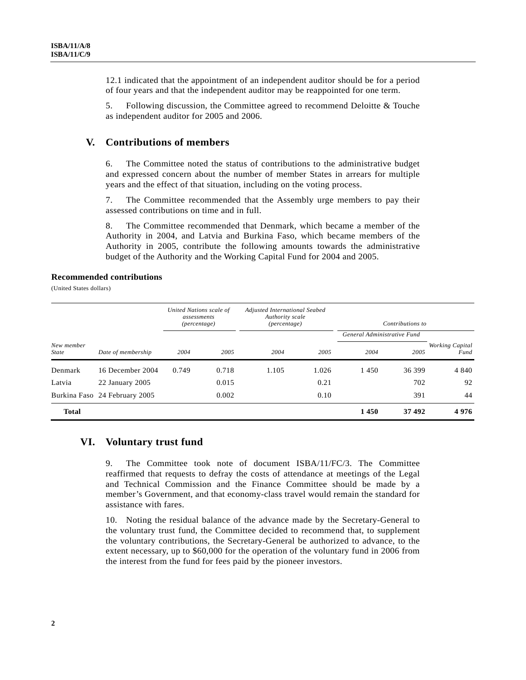12.1 indicated that the appointment of an independent auditor should be for a period of four years and that the independent auditor may be reappointed for one term.

5. Following discussion, the Committee agreed to recommend Deloitte & Touche as independent auditor for 2005 and 2006.

#### **V. Contributions of members**

6. The Committee noted the status of contributions to the administrative budget and expressed concern about the number of member States in arrears for multiple years and the effect of that situation, including on the voting process.

7. The Committee recommended that the Assembly urge members to pay their assessed contributions on time and in full.

8. The Committee recommended that Denmark, which became a member of the Authority in 2004, and Latvia and Burkina Faso, which became members of the Authority in 2005, contribute the following amounts towards the administrative budget of the Authority and the Working Capital Fund for 2004 and 2005.

#### **Recommended contributions**

(United States dollars)

|                            |                               | United Nations scale of<br>assessments<br>(percentage) |       | Adjusted International Seabed<br>Authority scale<br>(percentage) |       | Contributions to            |        |                         |
|----------------------------|-------------------------------|--------------------------------------------------------|-------|------------------------------------------------------------------|-------|-----------------------------|--------|-------------------------|
|                            |                               |                                                        |       |                                                                  |       | General Administrative Fund |        |                         |
| New member<br><b>State</b> | Date of membership            | 2004                                                   | 2005  | 2004                                                             | 2005  | 2004                        | 2005   | Working Capital<br>Fund |
| Denmark                    | 16 December 2004              | 0.749                                                  | 0.718 | 1.105                                                            | 1.026 | 1450                        | 36 399 | 4 8 4 0                 |
| Latvia                     | 22 January 2005               |                                                        | 0.015 |                                                                  | 0.21  |                             | 702    | 92                      |
|                            | Burkina Faso 24 February 2005 |                                                        | 0.002 |                                                                  | 0.10  |                             | 391    | 44                      |
| <b>Total</b>               |                               |                                                        |       |                                                                  |       | 1450                        | 37 492 | 4976                    |

### **VI. Voluntary trust fund**

9. The Committee took note of document ISBA/11/FC/3. The Committee reaffirmed that requests to defray the costs of attendance at meetings of the Legal and Technical Commission and the Finance Committee should be made by a member's Government, and that economy-class travel would remain the standard for assistance with fares.

10. Noting the residual balance of the advance made by the Secretary-General to the voluntary trust fund, the Committee decided to recommend that, to supplement the voluntary contributions, the Secretary-General be authorized to advance, to the extent necessary, up to \$60,000 for the operation of the voluntary fund in 2006 from the interest from the fund for fees paid by the pioneer investors.